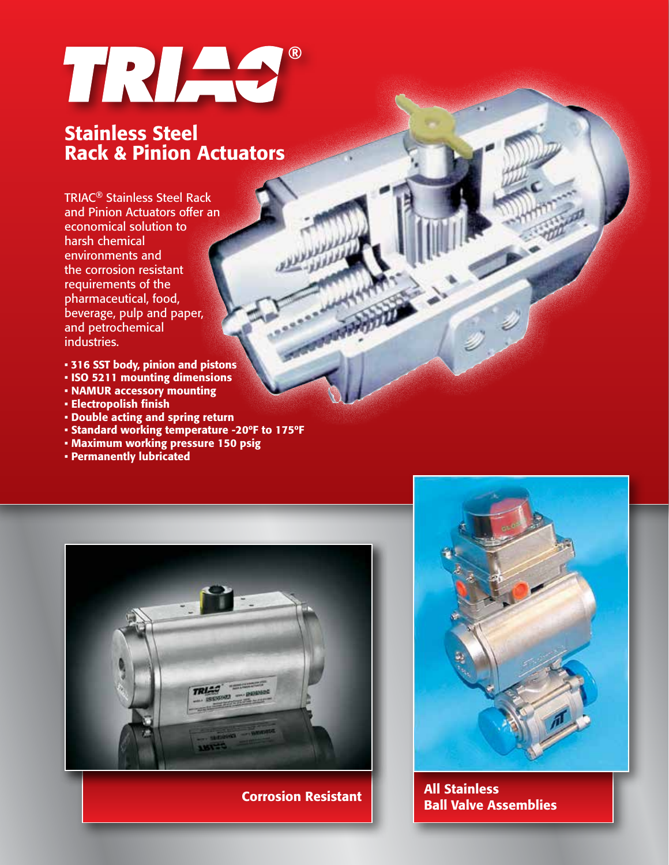# TRIAS®

#### Stainless Steel Rack & Pinion Actuators

TRIAC® Stainless Steel Rack and Pinion Actuators offer an economical solution to harsh chemical environments and the corrosion resistant requirements of the pharmaceutical, food, beverage, pulp and paper, and petrochemical industries.

- 316 SST body, pinion and pistons
- ISO 5211 mounting dimensions
- NAMUR accessory mounting
- Electropolish finish
- Double acting and spring return
- Standard working temperature -20ºF to 175ºF
- Maximum working pressure 150 psig
- Permanently lubricated





Corrosion Resistant | All Stainless Ball Valve Assemblies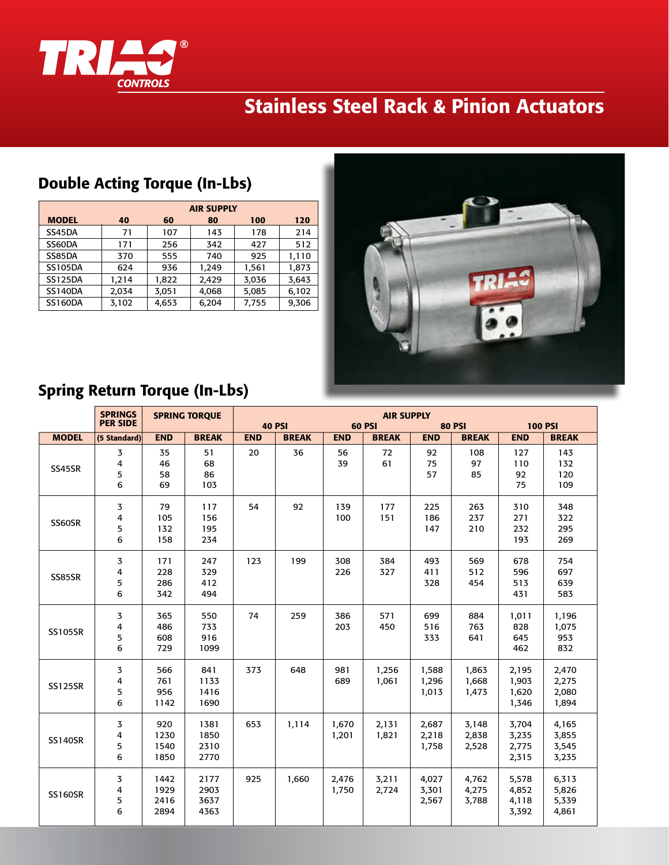

## Stainless Steel Rack & Pinion Actuators

|                | <b>AIR SUPPLY</b> |       |       |       |       |  |  |  |  |  |
|----------------|-------------------|-------|-------|-------|-------|--|--|--|--|--|
| <b>MODEL</b>   | 40                | 60    | 80    | 100   | 120   |  |  |  |  |  |
| SS45DA         | 71                | 107   | 143   | 178   | 214   |  |  |  |  |  |
| SS60DA         | 171               | 256   | 342   | 427   | 512   |  |  |  |  |  |
| SS85DA         | 370               | 555   | 740   | 925   | 1,110 |  |  |  |  |  |
| <b>SS105DA</b> | 624               | 936   | 1,249 | 1,561 | 1,873 |  |  |  |  |  |
| <b>SS125DA</b> | 1,214             | 1,822 | 2,429 | 3,036 | 3,643 |  |  |  |  |  |
| <b>SS140DA</b> | 2,034             | 3,051 | 4,068 | 5,085 | 6,102 |  |  |  |  |  |
| <b>SS160DA</b> | 3,102             | 4,653 | 6,204 | 7,755 | 9,306 |  |  |  |  |  |



#### Spring Return Torque (In-Lbs)

Double Acting Torque (In-Lbs)

|                | <b>SPRINGS</b><br><b>SPRING TORQUE</b><br><b>PER SIDE</b> |                              |                              |              | <b>40 PSI</b> | <b>60 PSI</b>  | <b>80 PSI</b>  | <b>100 PSI</b>          |                         |                                  |                                  |
|----------------|-----------------------------------------------------------|------------------------------|------------------------------|--------------|---------------|----------------|----------------|-------------------------|-------------------------|----------------------------------|----------------------------------|
| <b>MODEL</b>   | <b>END</b><br><b>BREAK</b><br>(5 Standard)                |                              | <b>END</b>                   | <b>BREAK</b> | <b>END</b>    | <b>BREAK</b>   | <b>END</b>     | <b>BREAK</b>            | <b>END</b>              | <b>BREAK</b>                     |                                  |
| SS45SR         | 3<br>4<br>5<br>6                                          | 35<br>46<br>58<br>69         | 51<br>68<br>86<br>103        | 20           | 36            | 56<br>39       | 72<br>61       | 92<br>75<br>57          | 108<br>97<br>85         | 127<br>110<br>92<br>75           | 143<br>132<br>120<br>109         |
| SS60SR         | 3<br>4<br>5<br>6                                          | 79<br>105<br>132<br>158      | 117<br>156<br>195<br>234     | 54           | 92            | 139<br>100     | 177<br>151     | 225<br>186<br>147       | 263<br>237<br>210       | 310<br>271<br>232<br>193         | 348<br>322<br>295<br>269         |
| SS85SR         | 3<br>4<br>5<br>6                                          | 171<br>228<br>286<br>342     | 247<br>329<br>412<br>494     | 123          | 199           | 308<br>226     | 384<br>327     | 493<br>411<br>328       | 569<br>512<br>454       | 678<br>596<br>513<br>431         | 754<br>697<br>639<br>583         |
| <b>SS105SR</b> | 3<br>4<br>5<br>6                                          | 365<br>486<br>608<br>729     | 550<br>733<br>916<br>1099    | 74           | 259           | 386<br>203     | 571<br>450     | 699<br>516<br>333       | 884<br>763<br>641       | 1,011<br>828<br>645<br>462       | 1,196<br>1,075<br>953<br>832     |
| <b>SS125SR</b> | 3<br>$\overline{4}$<br>5<br>6                             | 566<br>761<br>956<br>1142    | 841<br>1133<br>1416<br>1690  | 373          | 648           | 981<br>689     | 1,256<br>1,061 | 1,588<br>1,296<br>1,013 | 1,863<br>1,668<br>1,473 | 2,195<br>1,903<br>1,620<br>1,346 | 2,470<br>2,275<br>2,080<br>1,894 |
| <b>SS140SR</b> | 3<br>4<br>5<br>6                                          | 920<br>1230<br>1540<br>1850  | 1381<br>1850<br>2310<br>2770 | 653          | 1,114         | 1,670<br>1,201 | 2,131<br>1,821 | 2,687<br>2,218<br>1,758 | 3,148<br>2,838<br>2,528 | 3,704<br>3,235<br>2,775<br>2,315 | 4,165<br>3,855<br>3,545<br>3,235 |
| <b>SS160SR</b> | 3<br>4<br>5<br>6                                          | 1442<br>1929<br>2416<br>2894 | 2177<br>2903<br>3637<br>4363 | 925          | 1,660         | 2,476<br>1,750 | 3,211<br>2,724 | 4,027<br>3,301<br>2,567 | 4,762<br>4,275<br>3,788 | 5,578<br>4,852<br>4,118<br>3,392 | 6,313<br>5,826<br>5,339<br>4,861 |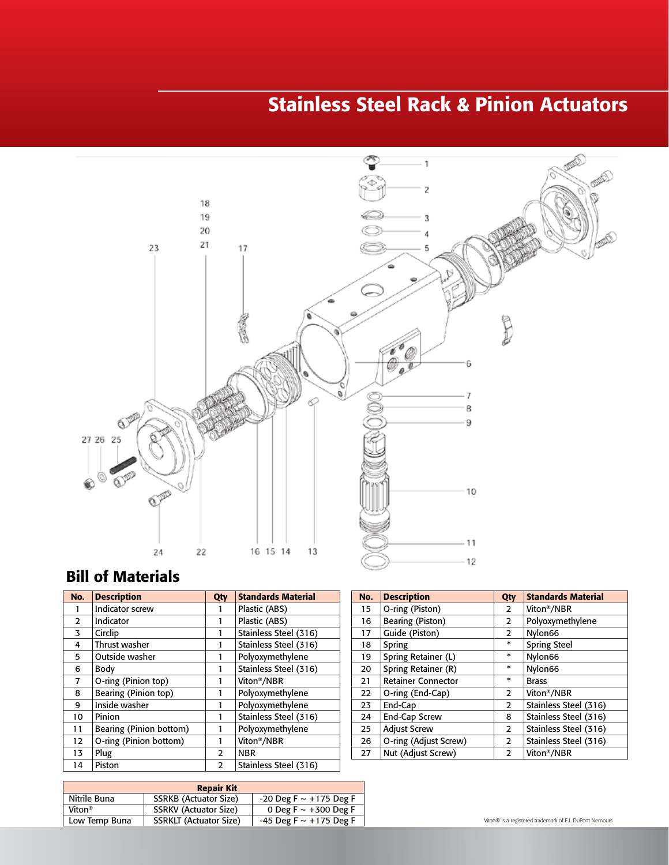## Stainless Steel Rack & Pinion Actuators



#### Bill of Materials 13 Piston Guide Band 2 PTFE Band 2 PTFE Band 2 PTFE Band 2 PTFE Band 2 PTFE Band 2 PTFE Band 2 PTFE BAND 2 PTF

| No.            | <b>Description</b>      | Qty            | <b>Standards Material</b> |
|----------------|-------------------------|----------------|---------------------------|
|                | Indicator screw         |                | Plastic (ABS)             |
| 2              | Indicator               |                | Plastic (ABS)             |
| 3              | Circlip                 |                | Stainless Steel (316)     |
| 4              | Thrust washer           | 1              | Stainless Steel (316)     |
| 5              | Outside washer          |                | Polyoxymethylene          |
| 6              | Body                    |                | Stainless Steel (316)     |
| $\overline{7}$ | O-ring (Pinion top)     |                | Viton <sup>®</sup> /NBR   |
| 8              | Bearing (Pinion top)    | 1              | Polyoxymethylene          |
| 9              | Inside washer           |                | Polyoxymethylene          |
| 10             | Pinion                  | 1              | Stainless Steel (316)     |
| 11             | Bearing (Pinion bottom) |                | Polyoxymethylene          |
| 12             | O-ring (Pinion bottom)  |                | Viton <sup>®</sup> /NBR   |
| 13             | Plug                    | $\overline{2}$ | <b>NBR</b>                |
| 14             | Piston                  | $\overline{2}$ | Stainless Steel (316)     |

| No. | <b>Description</b>        | Qty            | <b>Standards Material</b> |
|-----|---------------------------|----------------|---------------------------|
| 15  | O-ring (Piston)           | $\overline{2}$ | Viton <sup>®</sup> /NBR   |
| 16  | Bearing (Piston)          | $\overline{2}$ | Polyoxymethylene          |
| 17  | Guide (Piston)            | 2              | Nylon66                   |
| 18  | Spring                    | $\ast$         | <b>Spring Steel</b>       |
| 19  | Spring Retainer (L)       | $\ast$         | Nylon66                   |
| 20  | Spring Retainer (R)       | $\ast$         | Nylon66                   |
| 21  | <b>Retainer Connector</b> | $\ast$         | <b>Brass</b>              |
| 22  | O-ring (End-Cap)          | $\overline{2}$ | Viton <sup>®</sup> /NBR   |
| 23  | End-Cap                   | 2              | Stainless Steel (316)     |
| 24  | End-Cap Screw             | 8              | Stainless Steel (316)     |
| 25  | <b>Adjust Screw</b>       | $\overline{2}$ | Stainless Steel (316)     |
| 26  | O-ring (Adjust Screw)     | 2              | Stainless Steel (316)     |
| 27  | Nut (Adjust Screw)        | $\overline{2}$ | Viton <sup>®</sup> /NBR   |

| <b>Repair Kit</b>  |                               |                               |  |  |  |  |  |  |  |
|--------------------|-------------------------------|-------------------------------|--|--|--|--|--|--|--|
| Nitrile Buna       | <b>SSRKB</b> (Actuator Size)  | $-20$ Deg F $\sim +175$ Deg F |  |  |  |  |  |  |  |
| Viton <sup>®</sup> | <b>SSRKV (Actuator Size)</b>  | 0 Deg F $\sim$ +300 Deg F     |  |  |  |  |  |  |  |
| Low Temp Buna      | <b>SSRKLT</b> (Actuator Size) | $-45$ Deg F $\sim +175$ Deg F |  |  |  |  |  |  |  |